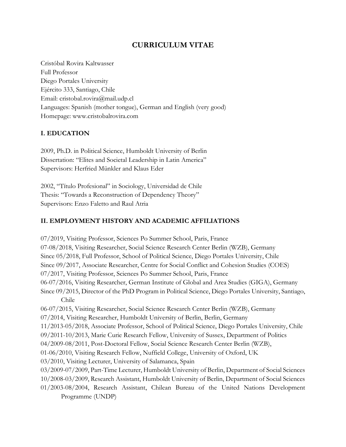# **CURRICULUM VITAE**

Cristóbal Rovira Kaltwasser Full Professor Diego Portales University Ejército 333, Santiago, Chile Email: cristobal.rovira@mail.udp.cl Languages: Spanish (mother tongue), German and English (very good) Homepage: www.cristobalrovira.com

### **I. EDUCATION**

2009, Ph.D. in Political Science, Humboldt University of Berlin Dissertation: "Elites and Societal Leadership in Latin America" Supervisors: Herfried Münkler and Klaus Eder

2002, "Título Profesional" in Sociology, Universidad de Chile Thesis: "Towards a Reconstruction of Dependency Theory" Supervisors: Enzo Faletto and Raul Atria

## **II. EMPLOYMENT HISTORY AND ACADEMIC AFFILIATIONS**

07/2019, Visiting Professor, Sciences Po Summer School, Paris, France 07-08/2018, Visiting Researcher, Social Science Research Center Berlin (WZB), Germany Since 05/2018, Full Professor, School of Political Science, Diego Portales University, Chile Since 09/2017, Associate Researcher, Centre for Social Conflict and Cohesion Studies (COES) 07/2017, Visiting Professor, Sciences Po Summer School, Paris, France 06-07/2016, Visiting Researcher, German Institute of Global and Area Studies (GIGA), Germany Since 09/2015, Director of the PhD Program in Political Science, Diego Portales University, Santiago, Chile 06-07/2015, Visiting Researcher, Social Science Research Center Berlin (WZB), Germany 07/2014, Visiting Researcher, Humboldt University of Berlin, Berlin, Germany 11/2013-05/2018, Associate Professor, School of Political Science, Diego Portales University, Chile 09/2011-10/2013, Marie Curie Research Fellow, University of Sussex, Department of Politics 04/2009-08/2011, Post-Doctoral Fellow, Social Science Research Center Berlin (WZB), 01-06/2010, Visiting Research Fellow, Nuffield College, University of Oxford, UK 03/2010, Visiting Lecturer, University of Salamanca, Spain 03/2009-07/2009, Part-Time Lecturer, Humboldt University of Berlin, Department of Social Sciences 10/2008-03/2009, Research Assistant, Humboldt University of Berlin, Department of Social Sciences 01/2003-08/2004, Research Assistant, Chilean Bureau of the United Nations Development Programme (UNDP)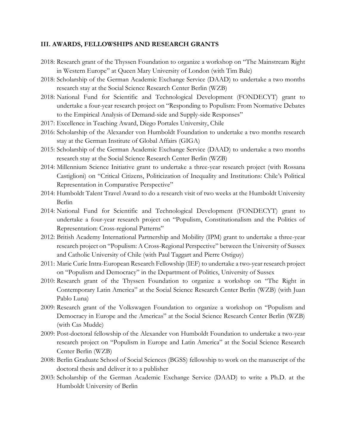#### **III. AWARDS, FELLOWSHIPS AND RESEARCH GRANTS**

- 2018: Research grant of the Thyssen Foundation to organize a workshop on "The Mainstream Right in Western Europe" at Queen Mary University of London (with Tim Bale)
- 2018: Scholarship of the German Academic Exchange Service (DAAD) to undertake a two months research stay at the Social Science Research Center Berlin (WZB)
- 2018: National Fund for Scientific and Technological Development (FONDECYT) grant to undertake a four-year research project on "Responding to Populism: From Normative Debates to the Empirical Analysis of Demand-side and Supply-side Responses"
- 2017: Excellence in Teaching Award, Diego Portales University, Chile
- 2016: Scholarship of the Alexander von Humboldt Foundation to undertake a two months research stay at the German Institute of Global Affairs (GIGA)
- 2015: Scholarship of the German Academic Exchange Service (DAAD) to undertake a two months research stay at the Social Science Research Center Berlin (WZB)
- 2014: Millennium Science Initiative grant to undertake a three-year research project (with Rossana Castiglioni) on "Critical Citizens, Politicization of Inequality and Institutions: Chile's Political Representation in Comparative Perspective"
- 2014: Humboldt Talent Travel Award to do a research visit of two weeks at the Humboldt University Berlin
- 2014: National Fund for Scientific and Technological Development (FONDECYT) grant to undertake a four-year research project on "Populism, Constitutionalism and the Politics of Representation: Cross-regional Patterns"
- 2012: British Academy International Partnership and Mobility (IPM) grant to undertake a three-year research project on "Populism: A Cross-Regional Perspective" between the University of Sussex and Catholic University of Chile (with Paul Taggart and Pierre Ostiguy)
- 2011: Marie Curie Intra-European Research Fellowship (IEF) to undertake a two-year research project on "Populism and Democracy" in the Department of Politics, University of Sussex
- 2010: Research grant of the Thyssen Foundation to organize a workshop on "The Right in Contemporary Latin America" at the Social Science Research Center Berlin (WZB) (with Juan Pablo Luna)
- 2009: Research grant of the Volkswagen Foundation to organize a workshop on "Populism and Democracy in Europe and the Americas" at the Social Science Research Center Berlin (WZB) (with Cas Mudde)
- 2009: Post-doctoral fellowship of the Alexander von Humboldt Foundation to undertake a two-year research project on "Populism in Europe and Latin America" at the Social Science Research Center Berlin (WZB)
- 2008: Berlin Graduate School of Social Sciences (BGSS) fellowship to work on the manuscript of the doctoral thesis and deliver it to a publisher
- 2003: Scholarship of the German Academic Exchange Service (DAAD) to write a Ph.D. at the Humboldt University of Berlin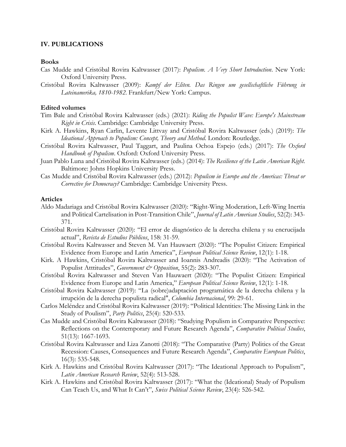#### **IV. PUBLICATIONS**

#### **Books**

- Cas Mudde and Cristóbal Rovira Kaltwasser (2017): *Populism. A Very Short Introduction*. New York: Oxford University Press.
- Cristóbal Rovira Kaltwasser (2009): *Kampf der Eliten. Das Ringen um gesellschaftliche Führung in Lateinamerika, 1810-1982.* Frankfurt/New York: Campus.

#### **Edited volumes**

- Tim Bale and Cristóbal Rovira Kaltwasser (eds.) (2021): *Riding the Populist Wave: Europe's Mainstream Right in Crisis*. Cambridge: Cambridge University Press.
- Kirk A. Hawkins, Ryan Carlin, Levente Littvay and Cristóbal Rovira Kaltwasser (eds.) (2019): *The Ideational Approach to Populism: Concept, Theory and Method*. London: Routledge.
- Cristóbal Rovira Kaltwasser, Paul Taggart, and Paulina Ochoa Espejo (eds.) (2017): *The Oxford Handbook of Populism*. Oxford: Oxford University Press.
- Juan Pablo Luna and Cristóbal Rovira Kaltwasser (eds.) (2014): *The Resilience of the Latin American Right.*  Baltimore: Johns Hopkins University Press.
- Cas Mudde and Cristóbal Rovira Kaltwasser (eds.) (2012): *Populism in Europe and the Americas: Threat or Corrective for Democracy?* Cambridge: Cambridge University Press.

#### **Articles**

- Aldo Madariaga and Cristóbal Rovira Kaltwasser (2020): "Right-Wing Moderation, Left-Wing Inertia and Political Cartelisation in Post-Transition Chile", *Journal of Latin American Studies*, 52(2): 343- 371.
- Cristóbal Rovira Kaltwasser (2020): "El error de diagnóstico de la derecha chilena y su encrucijada actual", *Revista de Estudios Públicos*, 158: 31-59.
- Cristóbal Rovira Kaltwasser and Steven M. Van Hauwaert (2020): "The Populist Citizen: Empirical Evidence from Europe and Latin America", *European Political Science Review*, 12(1): 1-18.
- Kirk. A Hawkins, Cristóbal Rovira Kaltwasser and Ioannis Andreadis (2020): "The Activation of Populist Atttitudes", *Government & Opposition*, 55(2): 283-307.
- Cristóbal Rovira Kaltwasser and Steven Van Hauwaert (2020): "The Populist Citizen: Empirical Evidence from Europe and Latin America," *European Political Science Review*, 12(1): 1-18.
- Cristóbal Rovira Kaltwasser (2019): "La (sobre)adaptación programática de la derecha chilena y la irrupción de la derecha populista radical", *Colombia Internacional*, 99: 29-61.
- Carlos Meléndez and Cristóbal Rovira Kaltwasser (2019): "Political Identities: The Missing Link in the Study of Poulism", *Party Politics*, 25(4): 520-533.
- Cas Mudde and Cristóbal Rovira Kaltwasser (2018): "Studying Populism in Comparative Perspective: Reflections on the Contemporary and Future Research Agenda", *Comparative Political Studies*, 51(13): 1667-1693.
- Cristóbal Rovira Kaltwasser and Liza Zanotti (2018): "The Comparative (Party) Politics of the Great Recession: Causes, Consequences and Future Research Agenda", *Comparative European Politics*, 16(3): 535-548.
- Kirk A. Hawkins and Cristóbal Rovira Kaltwasser (2017): "The Ideational Approach to Populism", *Latin American Research Review*, 52(4): 513-528.
- Kirk A. Hawkins and Cristóbal Rovira Kaltwasser (2017): "What the (Ideational) Study of Populism Can Teach Us, and What It Can't", *Swiss Political Science Review*, 23(4): 526-542.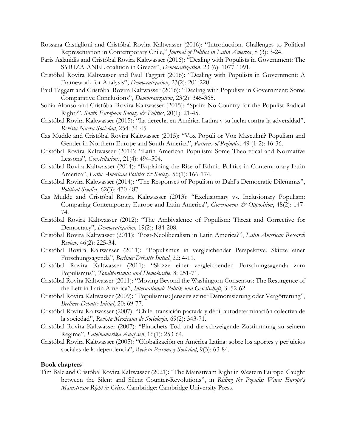- Rossana Castiglioni and Cristóbal Rovira Kaltwasser (2016): "Introduction. Challenges to Political Representation in Contemporary Chile," *Journal of Politics in Latin America*, 8 (3): 3-24.
- Paris Aslanidis and Cristóbal Rovira Kaltwasser (2016): "Dealing with Populists in Government: The SYRIZA-ANEL coalition in Greece", *Democratization*, 23 (6): 1077-1091.
- Cristóbal Rovira Kaltwasser and Paul Taggart (2016): "Dealing with Populists in Government: A Framework for Analysis", *Democratization*, 23(2): 201-220.
- Paul Taggart and Cristóbal Rovira Kaltwasser (2016): "Dealing with Populists in Government: Some Comparative Conclusions", *Democratization*, 23(2): 345-365.
- Sonia Alonso and Cristóbal Rovira Kaltwasser (2015): "Spain: No Country for the Populist Radical Right?", *South European Society & Politics*, 20(1): 21-45.
- Cristóbal Rovira Kaltwasser (2015): "La derecha en América Latina y su lucha contra la adversidad", *Revista Nueva Sociedad*, 254: 34-45.
- Cas Mudde and Cristóbal Rovira Kaltwasser (2015): "Vox Populi or Vox Masculini? Populism and Gender in Northern Europe and South America", *Patterns of Prejudice*, 49 (1-2): 16-36.
- Cristóbal Rovira Kaltwasser (2014): "Latin American Populism: Some Theoretical and Normative Lessons", *Constellations*, 21(4): 494-504.
- Cristóbal Rovira Kaltwasser (2014): "Explaining the Rise of Ethnic Politics in Contemporary Latin America", *Latin American Politics & Society*, 56(1): 166-174.
- Cristóbal Rovira Kaltwasser (2014): "The Responses of Populism to Dahl's Democratic Dilemmas", *Political Studies,* 62(3): 470-487.
- Cas Mudde and Cristóbal Rovira Kaltwasser (2013): "Exclusionary vs. Inclusionary Populism: Comparing Contemporary Europe and Latin America", *Government & Opposition*, 48(2): 147-74.
- Cristóbal Rovira Kaltwasser (2012): "The Ambivalence of Populism: Threat and Corrective for Democracy", *Democratization,* 19(2): 184-208.
- Cristóbal Rovira Kaltwasser (2011): "Post-Neoliberalism in Latin America?", *Latin American Research Review,* 46(2): 225-34.
- Cristóbal Rovira Kaltwasser (2011): "Populismus in vergleichender Perspektive. Skizze einer Forschungsagenda", *Berliner Debatte Initial*, 22: 4-11.
- Cristóbal Rovira Kaltwasser (2011): "Skizze einer vergleichenden Forschungsagenda zum Populismus", *Totalitarismus und Demokratie*, 8: 251-71.
- Cristóbal Rovira Kaltwasser (2011): "Moving Beyond the Washington Consensus: The Resurgence of the Left in Latin America", *Internationale Politik und Gesellschaft*, 3: 52-62.
- Cristóbal Rovira Kaltwasser (2009): "Populismus: Jenseits seiner Dämonisierung oder Vergötterung", *Berliner Debatte Initial*, 20: 69-77.
- Cristóbal Rovira Kaltwasser (2007): "Chile: transición pactada y débil autodeterminación colectiva de la sociedad", *Revista Mexicana de Sociología,* 69(2): 343-71.
- Cristóbal Rovira Kaltwasser (2007): "Pinochets Tod und die schweigende Zustimmung zu seinem Regime", *Lateinamerika Analysen*, 16(1): 253-64.
- Cristóbal Rovira Kaltwasser (2005): "Globalización en América Latina: sobre los aportes y perjuicios sociales de la dependencia", *Revista Persona y Sociedad*, 9(3): 63-84.

#### **Book chapters**

Tim Bale and Cristóbal Rovira Kaltwasser (2021): "The Mainstream Right in Western Europe: Caught between the Silent and Silent Counter-Revolutions", in *Riding the Populist Wave: Europe's Mainstream Right in Crisis*. Cambridge: Cambridge University Press.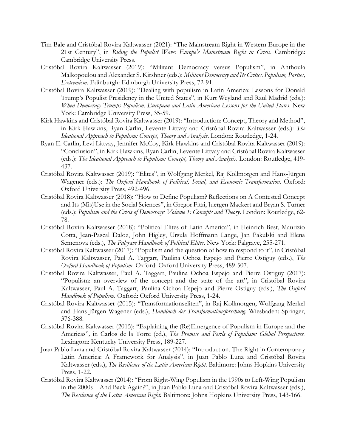- Tim Bale and Cristóbal Rovira Kaltwasser (2021): "The Mainstream Right in Western Europe in the 21st Century", in *Riding the Populist Wave: Europe's Mainstream Right in Crisis*. Cambridge: Cambridge University Press.
- Cristóbal Rovira Kaltwasser (2019): "Militant Democracy versus Populism", in Anthoula Malkopoulou and Alexander S. Kirshner (eds.): *Militant Democracy and Its Critics. Populism, Parties, Extremism*. Edinburgh: Edinburgh University Press, 72-91.
- Cristóbal Rovira Kaltwasser (2019): "Dealing with populism in Latin America: Lessons for Donald Trump's Populist Presidency in the United States", in Kurt Weyland and Raul Madrid (eds.): *When Democracy Trumps Populism. European and Latin American Lessons for the United States*. New York: Cambridge University Press, 35-59.
- Kirk Hawkins and Cristóbal Rovira Kaltwasser (2019): "Introduction: Concept, Theory and Method", in Kirk Hawkins, Ryan Carlin, Levente Littvay and Cristóbal Rovira Kaltwasser (eds.): *The Ideational Approach to Populism: Concept, Theory and Analysis*. London: Routledge, 1-24.
- Ryan E. Carlin, Levi Littvay, Jennifer McCoy, Kirk Hawkins and Cristóbal Rovira Kaltwasser (2019): "Conclusion", in Kirk Hawkins, Ryan Carlin, Levente Littvay and Cristóbal Rovira Kaltwasser (eds.): *The Ideational Approach to Populism: Concept, Theory and Analysis*. London: Routledge, 419- 437.
- Cristóbal Rovira Kaltwasser (2019): "Elites", in Wolfgang Merkel, Raj Kollmorgen and Hans-Jürgen Wagener (eds.): *The Oxford Handbook of Political, Social, and Economic Transformation*. Oxford: Oxford University Press, 492-496.
- Cristóbal Rovira Kaltwasser (2018): "How to Define Populism? Reflections on A Contested Concept and Its (Mis)Use in the Social Sciences", in Gregor Fitzi, Juergen Mackert and Bryan S. Turner (eds.): *Populism and the Crisis of Democracy: Volume 1: Concepts and Theory*. London: Routledge, 62- 78.
- Cristóbal Rovira Kaltwasser (2018): "Political Elites of Latin America", in Heinrich Best, Maurizio Cotta, Jean-Pascal Daloz, John Higley, Ursula Hoffmann Lange, Jan Pakulski and Elena Semenova (eds.), *The Palgrave Handbook of Political Elites*. New York: Palgrave, 255-271.
- Cristóbal Rovira Kaltwasser (2017): "Populism and the question of how to respond to it", in Cristóbal Rovira Kaltwasser, Paul A. Taggart, Paulina Ochoa Espejo and Pierre Ostiguy (eds.), *The Oxford Handbook of Populism*. Oxford: Oxford University Press, 489-507.
- Cristóbal Rovira Kaltwasser, Paul A. Taggart, Paulina Ochoa Espejo and Pierre Ostiguy (2017): "Populism: an overview of the concept and the state of the art", in Cristóbal Rovira Kaltwasser, Paul A. Taggart, Paulina Ochoa Espejo and Pierre Ostiguy (eds.), *The Oxford Handbook of Populism*. Oxford: Oxford University Press, 1-24.
- Cristóbal Rovira Kaltwasser (2015): "Transformationseliten", in Raj Kollmorgen, Wolfgang Merkel and Hans-Jürgen Wagener (eds.), *Handbuch der Transformationsforschung*. Wiesbaden: Springer, 376-388.
- Cristóbal Rovira Kaltwasser (2015): "Explaining the (Re)Emergence of Populism in Europe and the Americas"*,* in Carlos de la Torre (ed.), *The Promise and Perils of Populism: Global Perspectives.*  Lexington: Kentucky University Press, 189-227.
- Juan Pablo Luna and Cristóbal Rovira Kaltwasser (2014): "Introduction. The Right in Contemporary Latin America: A Framework for Analysis", in Juan Pablo Luna and Cristóbal Rovira Kaltwasser (eds.), *The Resilience of the Latin American Right.* Baltimore: Johns Hopkins University Press, 1-22.
- Cristóbal Rovira Kaltwasser (2014): "From Right-Wing Populism in the 1990s to Left-Wing Populism in the 2000s – And Back Again?", in Juan Pablo Luna and Cristóbal Rovira Kaltwasser (eds.), *The Resilience of the Latin American Right.* Baltimore: Johns Hopkins University Press, 143-166.